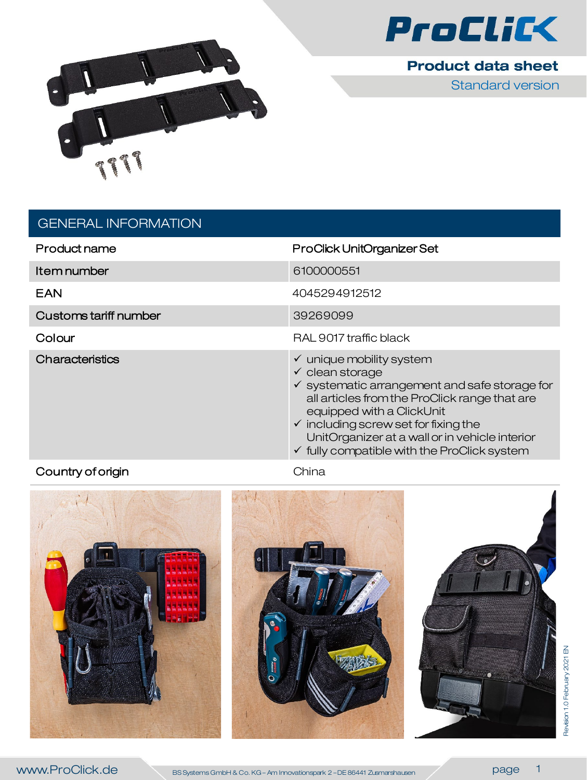

**Product data sheet** 

Standard version



## GENERAL INFORMATION

| Product name          | ProClick UnitOrganizer Set                                                                                                                                                                                                                                                                                                                                                 |
|-----------------------|----------------------------------------------------------------------------------------------------------------------------------------------------------------------------------------------------------------------------------------------------------------------------------------------------------------------------------------------------------------------------|
| Item number           | 6100000551                                                                                                                                                                                                                                                                                                                                                                 |
| EAN                   | 4045294912512                                                                                                                                                                                                                                                                                                                                                              |
| Customs tariff number | 39269099                                                                                                                                                                                                                                                                                                                                                                   |
| Colour                | RAL 9017 traffic black                                                                                                                                                                                                                                                                                                                                                     |
| Characteristics       | $\checkmark$ unique mobility system<br>$\checkmark$ clean storage<br>$\checkmark$ systematic arrangement and safe storage for<br>all articles from the ProClick range that are<br>equipped with a ClickUnit<br>$\checkmark$ including screw set for fixing the<br>UnitOrganizer at a wall or in vehicle interior<br>$\checkmark$ fully compatible with the ProClick system |

## Country of origin **China** China